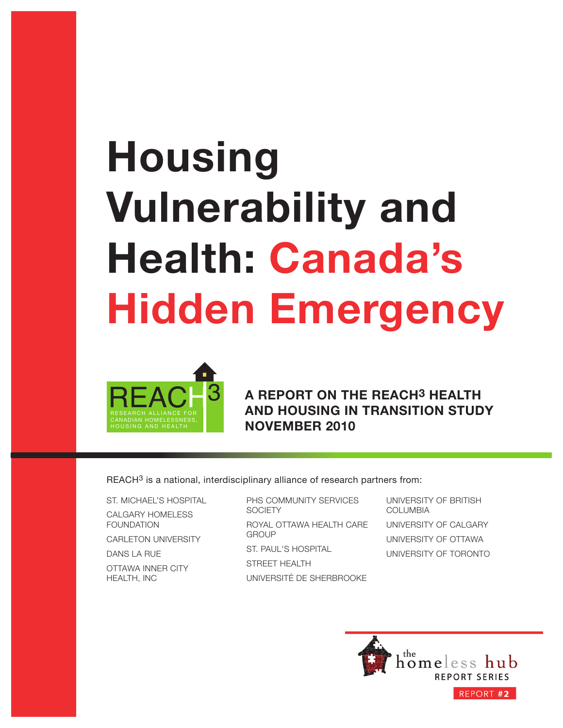# **Housing Vulnerability and Health: Canada's Hidden Emergency**



**A REPORT ON THE REACH3 HEALTH AND HOUSING IN TRANSITION STUDY NOVEMBER 2010**

REACH<sup>3</sup> is a national, interdisciplinary alliance of research partners from:

ST. MICHAEL'S HOSPITAL CALGARY HOMELESS FOUNDATION

CARLETON UNIVERSITY

DANS LA RUE

OTTAWA INNER CITY HEALTH, INC

PHS COMMUNITY SERVICES **SOCIETY** ROYAL OTTAWA HEALTH CARE **GROUP** ST. PAUL'S HOSPITAL STREET HEALTH

UNIVERSITÉ DE SHERBROOKE

UNIVERSITY OF BRITISH COLUMBIA UNIVERSITY OF CALGARY UNIVERSITY OF OTTAWA UNIVERSITY OF TORONTO

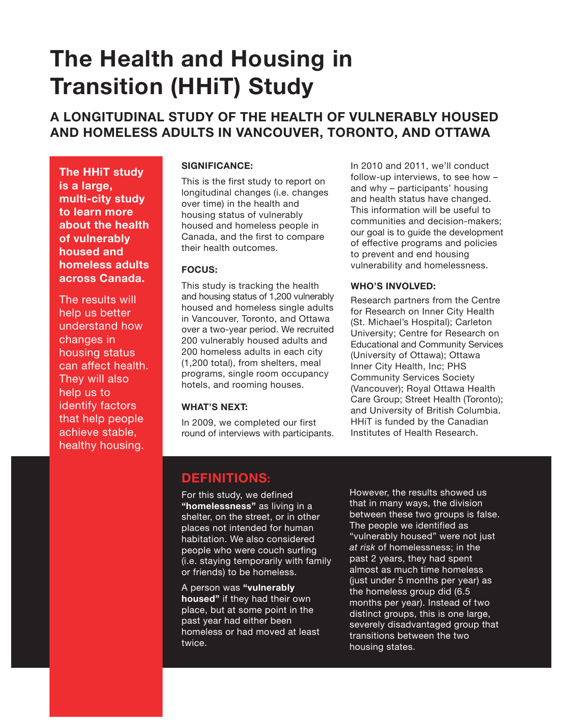## **The Health and Housing in Transition (HHiT) Study**

### **A LONGITUDINAL STUDY OF THE HEALTH OF VULNERABLY HOUSED AND HOMELESS ADULTS IN VANCOUVER, TORONTO, AND OTTAWA**

**The HHiT study is a large, multi-city study to learn more about the health of vulnerably housed and homeless adults across Canada.**

The results will help us better understand how changes in housing status can affect health. They will also help us to identify factors that help people achieve stable, healthy housing.

### **SIGNIFICANCE:**

This is the first study to report on longitudinal changes (i.e. changes over time) in the health and housing status of vulnerably housed and homeless people in Canada, and the first to compare their health outcomes.

### **FOCUS:**

This study is tracking the health and housing status of 1,200 vulnerably housed and homeless single adults in Vancouver, Toronto, and Ottawa over a two-year period. We recruited 200 vulnerably housed adults and 200 homeless adults in each city (1,200 total), from shelters, meal programs, single room occupancy hotels, and rooming houses.

### **WHAT'S NEXT:**

In 2009, we completed our first round of interviews with participants. In 2010 and 2011, we'll conduct follow-up interviews, to see how – and why – participants' housing and health status have changed. This information will be useful to communities and decision-makers; our goal is to guide the development of effective programs and policies to prevent and end housing vulnerability and homelessness.

### **WHO'S INVOLVED:**

Research partners from the Centre for Research on Inner City Health (St. Michael's Hospital); Carleton University; Centre for Research on Educational and Community Services (University of Ottawa); Ottawa Inner City Health, Inc; PHS Community Services Society (Vancouver); Royal Ottawa Health Care Group; Street Health (Toronto); and University of British Columbia. HHiT is funded by the Canadian Institutes of Health Research.

### **DEFINITIONS:**

For this study, we defined **"homelessness"** as living in a shelter, on the street, or in other places not intended for human habitation. We also considered people who were couch surfing (i.e. staying temporarily with family or friends) to be homeless.

A person was **"vulnerably housed"** if they had their own place, but at some point in the past year had either been homeless or had moved at least twice.

However, the results showed us that in many ways, the division between these two groups is false. The people we identified as "vulnerably housed" were not just *at risk* of homelessness; in the past 2 years, they had spent almost as much time homeless (just under 5 months per year) as the homeless group did (6.5 months per year). Instead of two distinct groups, this is one large, severely disadvantaged group that transitions between the two housing states.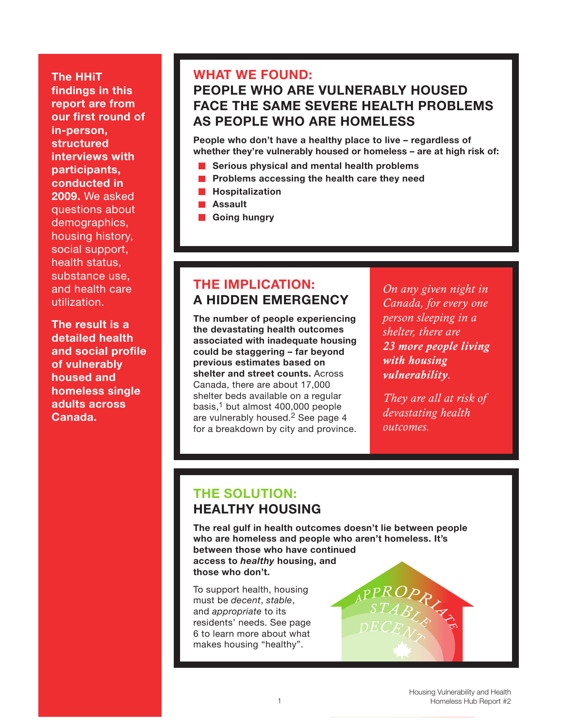**The HHiT findings in this report are from our first round of in-person, structured interviews with participants, conducted in 2009.** We asked questions about demographics, housing history, social support, health status, substance use, and health care utilization.

**The result is a detailed health and social profile of vulnerably housed and homeless single adults across Canada.**

### **WHAT WE FOUND:**

### **PEOPLE WHO ARE VULNERABLY HOUSED FACE THE SAME SEVERE HEALTH PROBLEMS AS PEOPLE WHO ARE HOMELESS**

**People who don't have a healthy place to live – regardless of whether they're vulnerably housed or homeless – are at high risk of:**

- **Serious physical and mental health problems**
- $\mathcal{L}_{\mathcal{A}}$ **Problems accessing the health care they need**
- **Hospitalization**
- **Assault**
- **Going hungry**

### **THE IMPLICATION: A HIDDEN EMERGENCY**

**The number of people experiencing the devastating health outcomes associated with inadequate housing could be staggering – far beyond previous estimates based on shelter and street counts.** Across Canada, there are about 17,000 shelter beds available on a regular basis, $1$  but almost 400,000 people are vulnerably housed.<sup>2</sup> See page 4 for a breakdown by city and province.

*On any given night in Canada, for every one person sleeping in a shelter, there are 23 more people living with housing vulnerability.*

*They are all at risk of devastating health outcomes.*

### **THE SOLUTION: HEALTHY HOUSING**

**The real gulf in health outcomes doesn't lie between people who are homeless and people who aren't homeless. It's between those who have continued access to** *healthy* **housing, and those who don't.**

To support health, housing must be *decent*, *stable*, and *appropriate* to its residents' needs. See page 6 to learn more about what makes housing "healthy".

 $\overline{P_{\text{R}}}\left\{ \overline{P_{\text{R}}}\right\}$ 

*<sup>D</sup>ECEN<sup>T</sup>*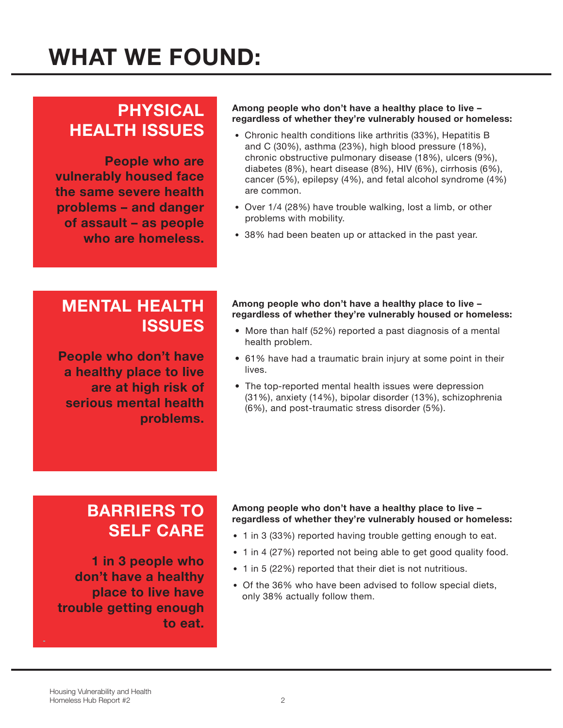### **PHYSICAL HEALTH ISSUES**

**People who are vulnerably housed face the same severe health problems – and danger of assault – as people who are homeless.**

### **Among people who don't have a healthy place to live – regardless of whether they're vulnerably housed or homeless:**

- Chronic health conditions like arthritis (33%), Hepatitis B and C (30%), asthma (23%), high blood pressure (18%), chronic obstructive pulmonary disease (18%), ulcers (9%), diabetes (8%), heart disease (8%), HIV (6%), cirrhosis (6%), cancer (5%), epilepsy (4%), and fetal alcohol syndrome (4%) are common.
- Over 1/4 (28%) have trouble walking, lost a limb, or other problems with mobility.
- 38% had been beaten up or attacked in the past year.

### **MENTAL HEALTH ISSUES**

**People who don't have a healthy place to live are at high risk of serious mental health problems.**

#### **Among people who don't have a healthy place to live – regardless of whether they're vulnerably housed or homeless:**

- More than half (52%) reported a past diagnosis of a mental health problem.
- 61% have had a traumatic brain injury at some point in their lives.
- The top-reported mental health issues were depression (31%), anxiety (14%), bipolar disorder (13%), schizophrenia (6%), and post-traumatic stress disorder (5%).

### **BARRIERS TO SELF CARE**

**1 in 3 people who don't have a healthy place to live have trouble getting enough to eat.**

#### **Among people who don't have a healthy place to live – regardless of whether they're vulnerably housed or homeless:**

- 1 in 3 (33%) reported having trouble getting enough to eat.
- 1 in 4 (27%) reported not being able to get good quality food.
- 1 in 5 (22%) reported that their diet is not nutritious.
- Of the 36% who have been advised to follow special diets, only 38% actually follow them.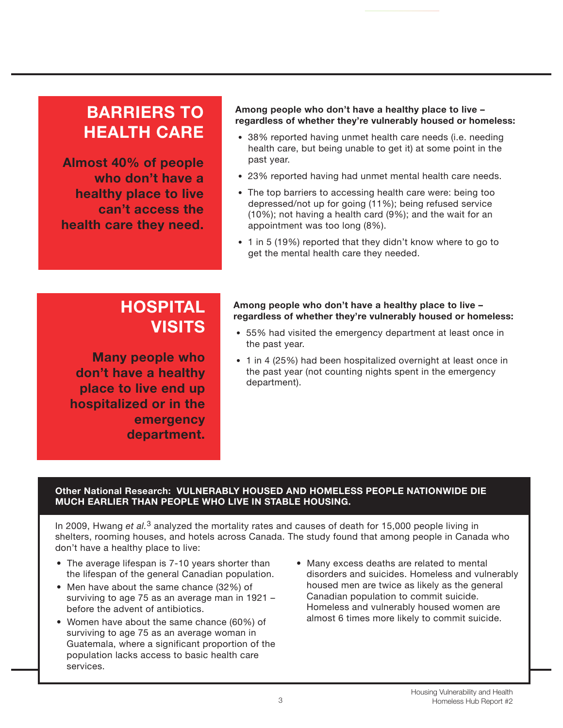### **BARRIERS TO HEALTH CARE**

**Almost 40% of people who don't have a healthy place to live can't access the health care they need.**

### **Among people who don't have a healthy place to live – regardless of whether they're vulnerably housed or homeless:**

- 38% reported having unmet health care needs (i.e. needing health care, but being unable to get it) at some point in the past year.
- 23% reported having had unmet mental health care needs.
- The top barriers to accessing health care were: being too depressed/not up for going (11%); being refused service (10%); not having a health card (9%); and the wait for an appointment was too long (8%).
- 1 in 5 (19%) reported that they didn't know where to go to get the mental health care they needed.

### **HOSPITAL VISITS**

**Many people who don't have a healthy place to live end up hospitalized or in the emergency department.**

#### **Among people who don't have a healthy place to live – regardless of whether they're vulnerably housed or homeless:**

- 55% had visited the emergency department at least once in the past year.
- 1 in 4 (25%) had been hospitalized overnight at least once in the past year (not counting nights spent in the emergency department).

### **Other National Research: VULNERABLY HOUSED AND HOMELESS PEOPLE NATIONWIDE DIE MUCH EARLIER THAN PEOPLE WHO LIVE IN STABLE HOUSING.**

In 2009, Hwang *et al.*3 analyzed the mortality rates and causes of death for 15,000 people living in shelters, rooming houses, and hotels across Canada. The study found that among people in Canada who don't have a healthy place to live:

- The average lifespan is 7-10 years shorter than the lifespan of the general Canadian population.
- Men have about the same chance (32%) of surviving to age 75 as an average man in 1921 – before the advent of antibiotics.
- Women have about the same chance (60%) of surviving to age 75 as an average woman in Guatemala, where a significant proportion of the population lacks access to basic health care services.
- Many excess deaths are related to mental disorders and suicides. Homeless and vulnerably housed men are twice as likely as the general Canadian population to commit suicide. Homeless and vulnerably housed women are almost 6 times more likely to commit suicide.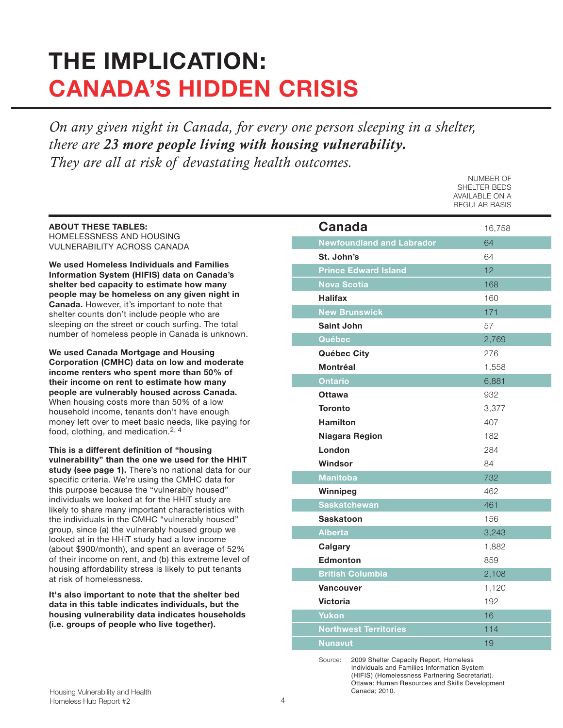# **THE IMPLICATION: CANADA'S HIDDEN CRISIS**

*On any given night in Canada, for every one person sleeping in a shelter, there are 23 more people living with housing vulnerability. They are all at risk of devastating health outcomes.* 

**ABOUT THESE TABLES:** HOMELESSNESS AND HOUSING VULNERABILITY ACROSS CANADA

**We used Homeless Individuals and Families Information System (HIFIS) data on Canada's shelter bed capacity to estimate how many people may be homeless on any given night in Canada.** However, it's important to note that shelter counts don't include people who are sleeping on the street or couch surfing. The total number of homeless people in Canada is unknown.

**We used Canada Mortgage and Housing Corporation (CMHC) data on low and moderate income renters who spent more than 50% of their income on rent to estimate how many people are vulnerably housed across Canada.** When housing costs more than 50% of a low household income, tenants don't have enough money left over to meet basic needs, like paying for food, clothing, and medication.<sup>2, 4</sup>

**This is a different definition of "housing vulnerability" than the one we used for the HHiT study (see page 1).** There's no national data for our specific criteria. We're using the CMHC data for this purpose because the "vulnerably housed" individuals we looked at for the HHiT study are likely to share many important characteristics with the individuals in the CMHC "vulnerably housed" group, since (a) the vulnerably housed group we looked at in the HHiT study had a low income (about \$900/month), and spent an average of 52% of their income on rent, and (b) this extreme level of housing affordability stress is likely to put tenants at risk of homelessness.

**It's also important to note that the shelter bed data in this table indicates individuals, but the housing vulnerability data indicates households (i.e. groups of people who live together).**

| Canada                           | 16,758 |
|----------------------------------|--------|
| <b>Newfoundland and Labrador</b> | 64     |
| St. John's                       | 64     |
| <b>Prince Edward Island</b>      | 12     |
| <b>Nova Scotia</b>               | 168    |
| <b>Halifax</b>                   | 160    |
| <b>New Brunswick</b>             | 171    |
| <b>Saint John</b>                | 57     |
| Québec                           | 2,769  |
| <b>Québec City</b>               | 276    |
| <b>Montréal</b>                  | 1,558  |
| <b>Ontario</b>                   | 6,881  |
| <b>Ottawa</b>                    | 932    |
| <b>Toronto</b>                   | 3,377  |
| <b>Hamilton</b>                  | 407    |
| Niagara Region                   | 182    |
| London                           | 284    |
| Windsor                          | 84     |
| <b>Manitoba</b>                  | 732    |
| Winnipeg                         | 462    |
| <b>Saskatchewan</b>              | 461    |
| <b>Saskatoon</b>                 | 156    |
| <b>Alberta</b>                   | 3,243  |
| Calgary                          | 1,882  |
| <b>Edmonton</b>                  | 859    |
| <b>British Columbia</b>          | 2,108  |
| <b>Vancouver</b>                 | 1,120  |
| <b>Victoria</b>                  | 192    |
| <b>Yukon</b>                     | 16     |
| <b>Northwest Territories</b>     | 114    |
| <b>Nunavut</b>                   | 19     |

NUMBER OF SHELTER BEDS AVAILABLE ON A REGULAR BASIS

Source: 2009 Shelter Capacity Report, Homeless Individuals and Families Information System (HIFIS) (Homelessness Partnering Secretariat). Ottawa: Human Resources and Skills Development Canada; 2010.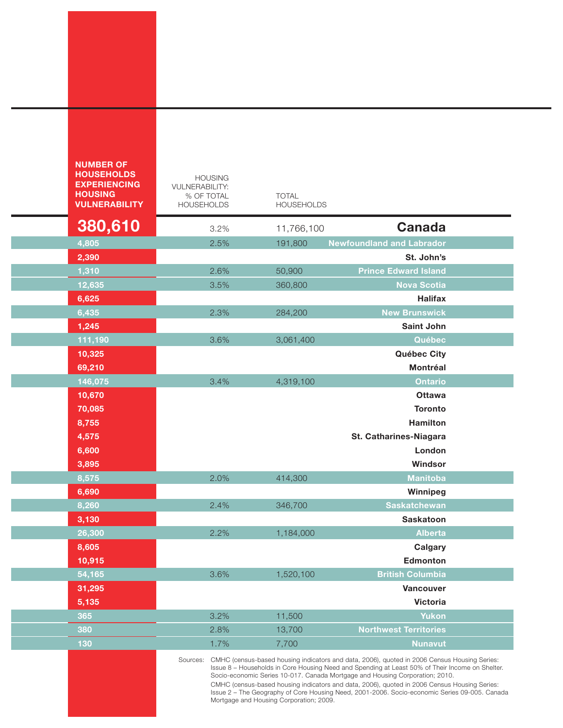| <b>NUMBER OF</b><br><b>HOUSEHOLDS</b><br><b>EXPERIENCING</b><br><b>HOUSING</b><br><b>VULNERABILITY</b> | <b>HOUSING</b><br><b>VULNERABILITY:</b><br>% OF TOTAL<br><b>HOUSEHOLDS</b>                                                                                                                                                                                                                                                                                                                                                                                                                                                              |      | <b>TOTAL</b><br><b>HOUSEHOLDS</b> |                                  |
|--------------------------------------------------------------------------------------------------------|-----------------------------------------------------------------------------------------------------------------------------------------------------------------------------------------------------------------------------------------------------------------------------------------------------------------------------------------------------------------------------------------------------------------------------------------------------------------------------------------------------------------------------------------|------|-----------------------------------|----------------------------------|
| 380,610                                                                                                |                                                                                                                                                                                                                                                                                                                                                                                                                                                                                                                                         | 3.2% | 11,766,100                        | <b>Canada</b>                    |
| 4,805                                                                                                  |                                                                                                                                                                                                                                                                                                                                                                                                                                                                                                                                         | 2.5% | 191,800                           | <b>Newfoundland and Labrador</b> |
| 2,390                                                                                                  |                                                                                                                                                                                                                                                                                                                                                                                                                                                                                                                                         |      |                                   | St. John's                       |
| 1,310                                                                                                  |                                                                                                                                                                                                                                                                                                                                                                                                                                                                                                                                         | 2.6% | 50,900                            | <b>Prince Edward Island</b>      |
| 12,635                                                                                                 |                                                                                                                                                                                                                                                                                                                                                                                                                                                                                                                                         | 3.5% | 360,800                           | <b>Nova Scotia</b>               |
| 6,625                                                                                                  |                                                                                                                                                                                                                                                                                                                                                                                                                                                                                                                                         |      |                                   | <b>Halifax</b>                   |
| 6,435                                                                                                  |                                                                                                                                                                                                                                                                                                                                                                                                                                                                                                                                         | 2.3% | 284,200                           | <b>New Brunswick</b>             |
| 1,245                                                                                                  |                                                                                                                                                                                                                                                                                                                                                                                                                                                                                                                                         |      |                                   | <b>Saint John</b>                |
| 111,190                                                                                                |                                                                                                                                                                                                                                                                                                                                                                                                                                                                                                                                         | 3.6% | 3,061,400                         | Québec                           |
| 10,325                                                                                                 |                                                                                                                                                                                                                                                                                                                                                                                                                                                                                                                                         |      |                                   | Québec City                      |
| 69,210                                                                                                 |                                                                                                                                                                                                                                                                                                                                                                                                                                                                                                                                         |      |                                   | <b>Montréal</b>                  |
| 146,075                                                                                                |                                                                                                                                                                                                                                                                                                                                                                                                                                                                                                                                         | 3.4% | 4,319,100                         | <b>Ontario</b>                   |
| 10,670                                                                                                 |                                                                                                                                                                                                                                                                                                                                                                                                                                                                                                                                         |      |                                   | <b>Ottawa</b>                    |
| 70,085                                                                                                 |                                                                                                                                                                                                                                                                                                                                                                                                                                                                                                                                         |      |                                   | <b>Toronto</b>                   |
| 8,755                                                                                                  |                                                                                                                                                                                                                                                                                                                                                                                                                                                                                                                                         |      |                                   | <b>Hamilton</b>                  |
| 4,575                                                                                                  |                                                                                                                                                                                                                                                                                                                                                                                                                                                                                                                                         |      |                                   | St. Catharines-Niagara           |
| 6,600                                                                                                  |                                                                                                                                                                                                                                                                                                                                                                                                                                                                                                                                         |      |                                   | London                           |
| 3,895                                                                                                  |                                                                                                                                                                                                                                                                                                                                                                                                                                                                                                                                         |      |                                   | Windsor                          |
| 8,575                                                                                                  |                                                                                                                                                                                                                                                                                                                                                                                                                                                                                                                                         | 2.0% | 414,300                           | <b>Manitoba</b>                  |
| 6,690                                                                                                  |                                                                                                                                                                                                                                                                                                                                                                                                                                                                                                                                         |      |                                   | Winnipeg                         |
| 8,260                                                                                                  |                                                                                                                                                                                                                                                                                                                                                                                                                                                                                                                                         | 2.4% | 346,700                           | <b>Saskatchewan</b>              |
| 3,130                                                                                                  |                                                                                                                                                                                                                                                                                                                                                                                                                                                                                                                                         |      |                                   | Saskatoon                        |
| 26,300                                                                                                 |                                                                                                                                                                                                                                                                                                                                                                                                                                                                                                                                         | 2.2% | 1,184,000                         | <b>Alberta</b>                   |
| 8,605                                                                                                  |                                                                                                                                                                                                                                                                                                                                                                                                                                                                                                                                         |      |                                   | Calgary                          |
| 10,915                                                                                                 |                                                                                                                                                                                                                                                                                                                                                                                                                                                                                                                                         |      |                                   | <b>Edmonton</b>                  |
| 54,165                                                                                                 |                                                                                                                                                                                                                                                                                                                                                                                                                                                                                                                                         | 3.6% | 1,520,100                         | <b>British Columbia</b>          |
| 31,295                                                                                                 |                                                                                                                                                                                                                                                                                                                                                                                                                                                                                                                                         |      |                                   | Vancouver                        |
| 5,135                                                                                                  |                                                                                                                                                                                                                                                                                                                                                                                                                                                                                                                                         |      |                                   | <b>Victoria</b>                  |
| 365                                                                                                    |                                                                                                                                                                                                                                                                                                                                                                                                                                                                                                                                         | 3.2% | 11,500                            | <b>Yukon</b>                     |
| 380                                                                                                    |                                                                                                                                                                                                                                                                                                                                                                                                                                                                                                                                         | 2.8% | 13,700                            | <b>Northwest Territories</b>     |
| 130                                                                                                    |                                                                                                                                                                                                                                                                                                                                                                                                                                                                                                                                         | 1.7% | 7,700                             | <b>Nunavut</b>                   |
|                                                                                                        | Sources:<br>CMHC (census-based housing indicators and data, 2006), quoted in 2006 Census Housing Series:<br>Issue 8 - Households in Core Housing Need and Spending at Least 50% of Their Income on Shelter.<br>Socio-economic Series 10-017. Canada Mortgage and Housing Corporation; 2010.<br>CMHC (census-based housing indicators and data, 2006), quoted in 2006 Census Housing Series:<br>Issue 2 - The Geography of Core Housing Need, 2001-2006. Socio-economic Series 09-005. Canada<br>Mortgage and Housing Corporation; 2009. |      |                                   |                                  |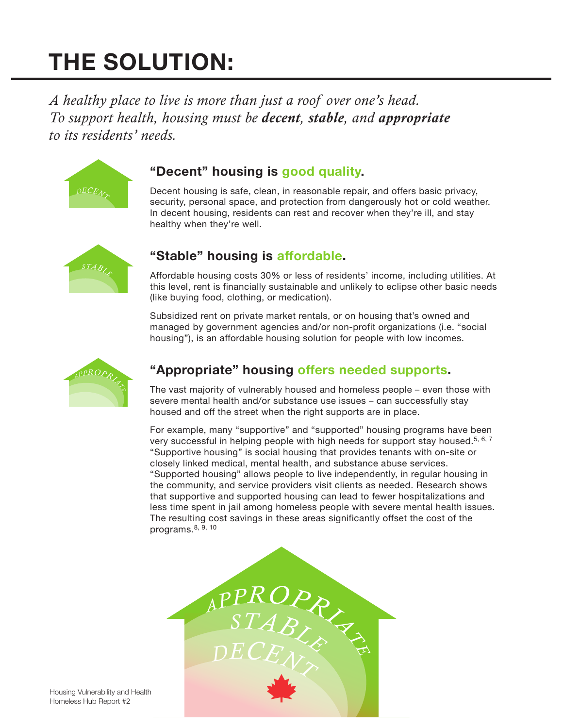# **THE SOLUTION:**

*A healthy place to live is more than just a roof over one's head. To support health, housing must be decent, stable, and appropriate to its residents' needs.*



### **"Decent" housing is good quality.**

Decent housing is safe, clean, in reasonable repair, and offers basic privacy, security, personal space, and protection from dangerously hot or cold weather. In decent housing, residents can rest and recover when they're ill, and stay healthy when they're well.



### **"Stable" housing is affordable.**

Affordable housing costs 30% or less of residents' income, including utilities. At this level, rent is financially sustainable and unlikely to eclipse other basic needs (like buying food, clothing, or medication).

Subsidized rent on private market rentals, or on housing that's owned and managed by government agencies and/or non-profit organizations (i.e. "social housing"), is an affordable housing solution for people with low incomes.



### **"Appropriate" housing offers needed supports.**

The vast majority of vulnerably housed and homeless people – even those with severe mental health and/or substance use issues – can successfully stay housed and off the street when the right supports are in place.

For example, many "supportive" and "supported" housing programs have been very successful in helping people with high needs for support stay housed.<sup>5, 6, 7</sup> "Supportive housing" is social housing that provides tenants with on-site or closely linked medical, mental health, and substance abuse services. "Supported housing" allows people to live independently, in regular housing in the community, and service providers visit clients as needed. Research shows that supportive and supported housing can lead to fewer hospitalizations and less time spent in jail among homeless people with severe mental health issues. The resulting cost savings in these areas significantly offset the cost of the programs. $8, 9, 10$ 

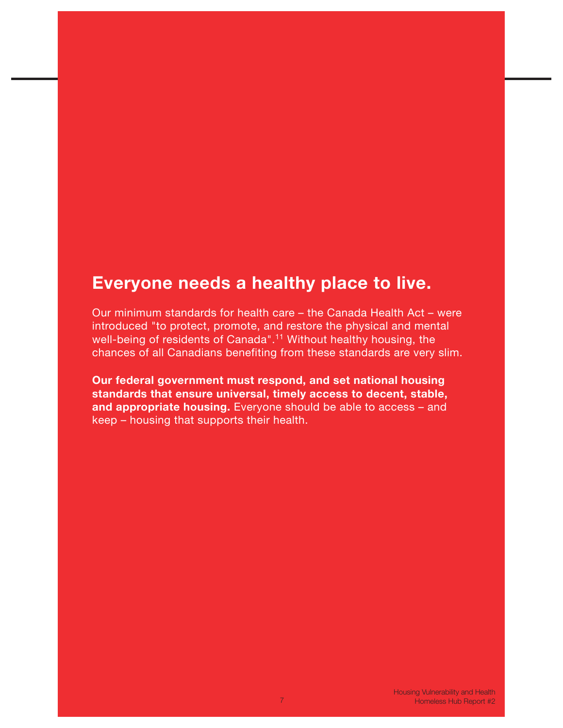### **Everyone needs a healthy place to live.**

Our minimum standards for health care – the Canada Health Act – were introduced "to protect, promote, and restore the physical and mental well-being of residents of Canada".<sup>11</sup> Without healthy housing, the chances of all Canadians benefiting from these standards are very slim.

**Our federal government must respond, and set national housing standards that ensure universal, timely access to decent, stable, and appropriate housing.** Everyone should be able to access – and keep – housing that supports their health.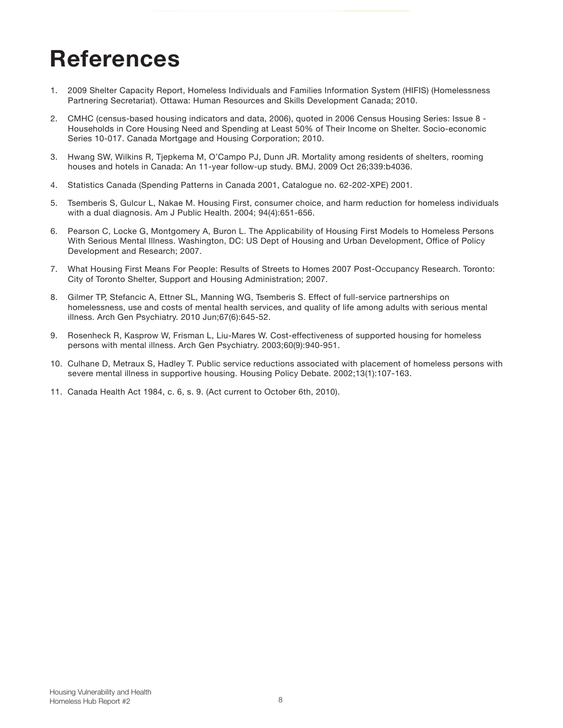# **References**

- 1. 2009 Shelter Capacity Report, Homeless Individuals and Families Information System (HIFIS) (Homelessness Partnering Secretariat). Ottawa: Human Resources and Skills Development Canada; 2010.
- 2. CMHC (census-based housing indicators and data, 2006), quoted in 2006 Census Housing Series: Issue 8 Households in Core Housing Need and Spending at Least 50% of Their Income on Shelter. Socio-economic Series 10-017. Canada Mortgage and Housing Corporation; 2010.
- 3. Hwang SW, Wilkins R, Tjepkema M, O'Campo PJ, Dunn JR. Mortality among residents of shelters, rooming houses and hotels in Canada: An 11-year follow-up study. BMJ. 2009 Oct 26;339:b4036.
- 4. Statistics Canada (Spending Patterns in Canada 2001, Catalogue no. 62-202-XPE) 2001.
- 5. Tsemberis S, Gulcur L, Nakae M. Housing First, consumer choice, and harm reduction for homeless individuals with a dual diagnosis. Am J Public Health. 2004; 94(4):651-656.
- 6. Pearson C, Locke G, Montgomery A, Buron L. The Applicability of Housing First Models to Homeless Persons With Serious Mental Illness. Washington, DC: US Dept of Housing and Urban Development, Office of Policy Development and Research; 2007.
- 7. What Housing First Means For People: Results of Streets to Homes 2007 Post-Occupancy Research. Toronto: City of Toronto Shelter, Support and Housing Administration; 2007.
- 8. Gilmer TP, Stefancic A, Ettner SL, Manning WG, Tsemberis S. Effect of full-service partnerships on homelessness, use and costs of mental health services, and quality of life among adults with serious mental illness. Arch Gen Psychiatry. 2010 Jun;67(6):645-52.
- 9. Rosenheck R, Kasprow W, Frisman L, Liu-Mares W. Cost-effectiveness of supported housing for homeless persons with mental illness. Arch Gen Psychiatry. 2003;60(9):940-951.
- 10. Culhane D, Metraux S, Hadley T. Public service reductions associated with placement of homeless persons with severe mental illness in supportive housing. Housing Policy Debate. 2002;13(1):107-163.
- 11. Canada Health Act 1984, c. 6, s. 9. (Act current to October 6th, 2010).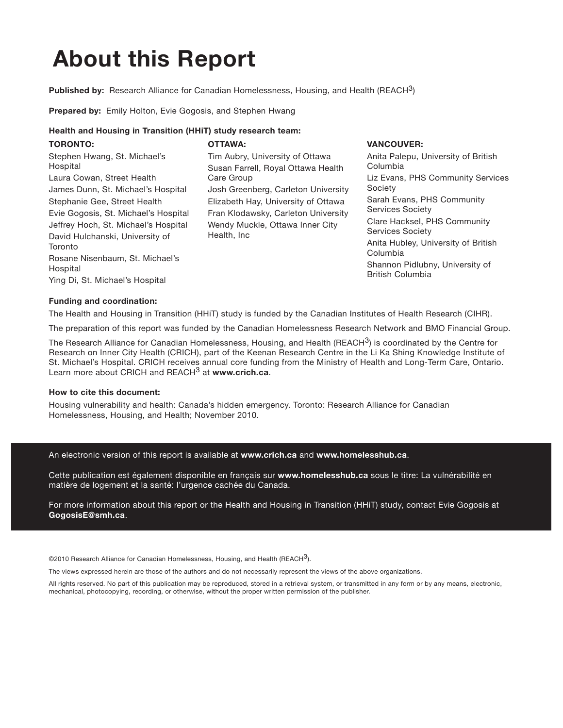# **About this Report**

**Published by:** Research Alliance for Canadian Homelessness, Housing, and Health (REACH3)

**Prepared by:** Emily Holton, Evie Gogosis, and Stephen Hwang

#### **Health and Housing in Transition (HHiT) study research team:**

|  | <b>TORONTO:</b><br>Stephen Hwang, St. Michael's<br>Hospital<br>Laura Cowan, Street Health<br>James Dunn, St. Michael's Hospital<br>Stephanie Gee, Street Health<br>Evie Gogosis, St. Michael's Hospital<br>Jeffrey Hoch, St. Michael's Hospital<br>David Hulchanski, University of<br>Toronto<br>Rosane Nisenbaum, St. Michael's<br>Hospital<br>Ying Di, St. Michael's Hospital | <b>OTTAWA:</b><br>Tim Aubry, University of Ottawa<br>Susan Farrell, Royal Ottawa Health<br>Care Group<br>Josh Greenberg, Carleton University<br>Elizabeth Hay, University of Ottawa<br>Fran Klodawsky, Carleton University<br>Wendy Muckle, Ottawa Inner City<br>Health, Inc. | <b>VANCOUVER:</b><br>Anita Palepu, University of British<br>Columbia<br>Liz Evans, PHS Community Services<br>Society<br>Sarah Evans, PHS Community<br>Services Society<br>Clare Hacksel, PHS Community<br><b>Services Society</b><br>Anita Hubley, University of British<br>Columbia<br>Shannon Pidlubny, University of<br><b>British Columbia</b> |
|--|---------------------------------------------------------------------------------------------------------------------------------------------------------------------------------------------------------------------------------------------------------------------------------------------------------------------------------------------------------------------------------|-------------------------------------------------------------------------------------------------------------------------------------------------------------------------------------------------------------------------------------------------------------------------------|----------------------------------------------------------------------------------------------------------------------------------------------------------------------------------------------------------------------------------------------------------------------------------------------------------------------------------------------------|
|--|---------------------------------------------------------------------------------------------------------------------------------------------------------------------------------------------------------------------------------------------------------------------------------------------------------------------------------------------------------------------------------|-------------------------------------------------------------------------------------------------------------------------------------------------------------------------------------------------------------------------------------------------------------------------------|----------------------------------------------------------------------------------------------------------------------------------------------------------------------------------------------------------------------------------------------------------------------------------------------------------------------------------------------------|

#### **Funding and coordination:**

The Health and Housing in Transition (HHiT) study is funded by the Canadian Institutes of Health Research (CIHR).

The preparation of this report was funded by the Canadian Homelessness Research Network and BMO Financial Group.

The Research Alliance for Canadian Homelessness, Housing, and Health (REACH $3$ ) is coordinated by the Centre for Research on Inner City Health (CRICH), part of the Keenan Research Centre in the Li Ka Shing Knowledge Institute of St. Michael's Hospital. CRICH receives annual core funding from the Ministry of Health and Long-Term Care, Ontario. Learn more about CRICH and REACH3 at **www.crich.ca**.

#### **How to cite this document:**

Housing vulnerability and health: Canada's hidden emergency. Toronto: Research Alliance for Canadian Homelessness, Housing, and Health; November 2010.

An electronic version of this report is available at **www.crich.ca** and **www.homelesshub.ca**.

Cette publication est également disponible en français sur **www.homelesshub.ca** sous le titre: La vulnérabilité en matière de logement et la santé: l'urgence cachée du Canada.

For more information about this report or the Health and Housing in Transition (HHiT) study, contact Evie Gogosis at **GogosisE@smh.ca**.

©2010 Research Alliance for Canadian Homelessness, Housing, and Health (REACH $3$ ).

The views expressed herein are those of the authors and do not necessarily represent the views of the above organizations.

All rights reserved. No part of this publication may be reproduced, stored in a retrieval system, or transmitted in any form or by any means, electronic, mechanical, photocopying, recording, or otherwise, without the proper written permission of the publisher.